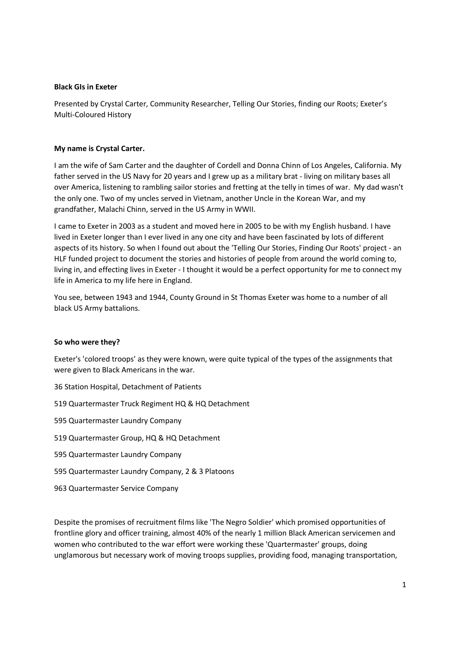# **Black GIs in Exeter**

Presented by Crystal Carter, Community Researcher, Telling Our Stories, finding our Roots; Exeter's Multi-Coloured History

# **My name is Crystal Carter.**

I am the wife of Sam Carter and the daughter of Cordell and Donna Chinn of Los Angeles, California. My father served in the US Navy for 20 years and I grew up as a military brat - living on military bases all over America, listening to rambling sailor stories and fretting at the telly in times of war. My dad wasn't the only one. Two of my uncles served in Vietnam, another Uncle in the Korean War, and my grandfather, Malachi Chinn, served in the US Army in WWII.

I came to Exeter in 2003 as a student and moved here in 2005 to be with my English husband. I have lived in Exeter longer than I ever lived in any one city and have been fascinated by lots of different aspects of its history. So when I found out about the 'Telling Our Stories, Finding Our Roots' project - an HLF funded project to document the stories and histories of people from around the world coming to, living in, and effecting lives in Exeter - I thought it would be a perfect opportunity for me to connect my life in America to my life here in England.

You see, between 1943 and 1944, County Ground in St Thomas Exeter was home to a number of all black US Army battalions.

## **So who were they?**

Exeter's 'colored troops' as they were known, were quite typical of the types of the assignments that were given to Black Americans in the war.

- 36 Station Hospital, Detachment of Patients
- 519 Quartermaster Truck Regiment HQ & HQ Detachment
- 595 Quartermaster Laundry Company
- 519 Quartermaster Group, HQ & HQ Detachment
- 595 Quartermaster Laundry Company
- 595 Quartermaster Laundry Company, 2 & 3 Platoons
- 963 Quartermaster Service Company

Despite the promises of recruitment films like 'The Negro Soldier' which promised opportunities of frontline glory and officer training, almost 40% of the nearly 1 million Black American servicemen and women who contributed to the war effort were working these 'Quartermaster' groups, doing unglamorous but necessary work of moving troops supplies, providing food, managing transportation,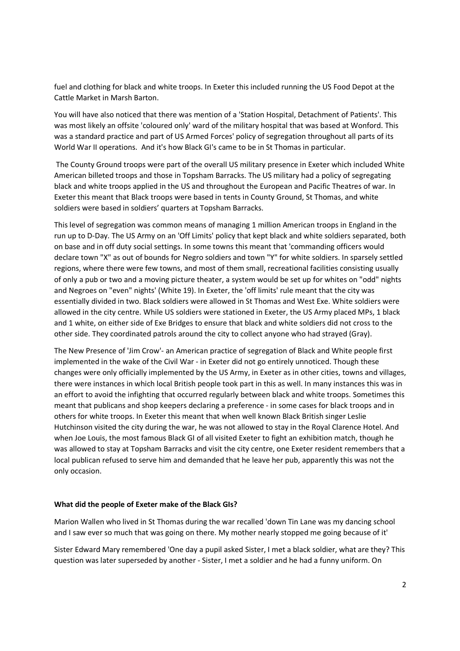fuel and clothing for black and white troops. In Exeter this included running the US Food Depot at the Cattle Market in Marsh Barton.

You will have also noticed that there was mention of a 'Station Hospital, Detachment of Patients'. This was most likely an offsite 'coloured only' ward of the military hospital that was based at Wonford. This was a standard practice and part of US Armed Forces' policy of segregation throughout all parts of its World War II operations. And it's how Black GI's came to be in St Thomas in particular.

 The County Ground troops were part of the overall US military presence in Exeter which included White American billeted troops and those in Topsham Barracks. The US military had a policy of segregating black and white troops applied in the US and throughout the European and Pacific Theatres of war. In Exeter this meant that Black troops were based in tents in County Ground, St Thomas, and white soldiers were based in soldiers' quarters at Topsham Barracks.

This level of segregation was common means of managing 1 million American troops in England in the run up to D-Day. The US Army on an 'Off Limits' policy that kept black and white soldiers separated, both on base and in off duty social settings. In some towns this meant that 'commanding officers would declare town "X" as out of bounds for Negro soldiers and town "Y" for white soldiers. In sparsely settled regions, where there were few towns, and most of them small, recreational facilities consisting usually of only a pub or two and a moving picture theater, a system would be set up for whites on "odd" nights and Negroes on "even" nights' (White 19). In Exeter, the 'off limits' rule meant that the city was essentially divided in two. Black soldiers were allowed in St Thomas and West Exe. White soldiers were allowed in the city centre. While US soldiers were stationed in Exeter, the US Army placed MPs, 1 black and 1 white, on either side of Exe Bridges to ensure that black and white soldiers did not cross to the other side. They coordinated patrols around the city to collect anyone who had strayed (Gray).

The New Presence of 'Jim Crow'- an American practice of segregation of Black and White people first implemented in the wake of the Civil War - in Exeter did not go entirely unnoticed. Though these changes were only officially implemented by the US Army, in Exeter as in other cities, towns and villages, there were instances in which local British people took part in this as well. In many instances this was in an effort to avoid the infighting that occurred regularly between black and white troops. Sometimes this meant that publicans and shop keepers declaring a preference - in some cases for black troops and in others for white troops. In Exeter this meant that when well known Black British singer Leslie Hutchinson visited the city during the war, he was not allowed to stay in the Royal Clarence Hotel. And when Joe Louis, the most famous Black GI of all visited Exeter to fight an exhibition match, though he was allowed to stay at Topsham Barracks and visit the city centre, one Exeter resident remembers that a local publican refused to serve him and demanded that he leave her pub, apparently this was not the only occasion.

## **What did the people of Exeter make of the Black GIs?**

Marion Wallen who lived in St Thomas during the war recalled 'down Tin Lane was my dancing school and I saw ever so much that was going on there. My mother nearly stopped me going because of it'

Sister Edward Mary remembered 'One day a pupil asked Sister, I met a black soldier, what are they? This question was later superseded by another - Sister, I met a soldier and he had a funny uniform. On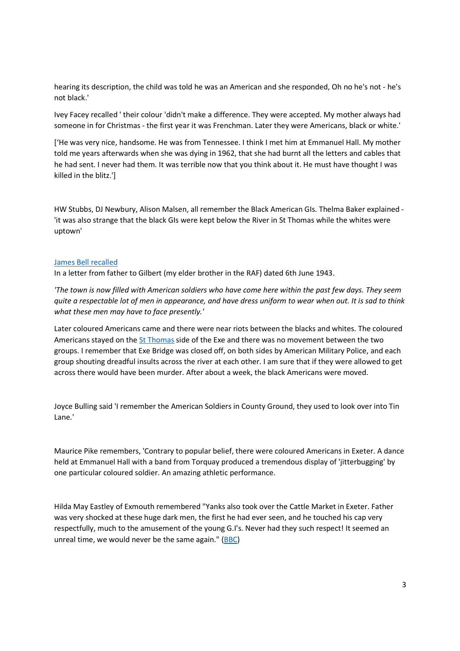hearing its description, the child was told he was an American and she responded, Oh no he's not - he's not black.'

Ivey Facey recalled ' their colour 'didn't make a difference. They were accepted. My mother always had someone in for Christmas - the first year it was Frenchman. Later they were Americans, black or white.'

['He was very nice, handsome. He was from Tennessee. I think I met him at Emmanuel Hall. My mother told me years afterwards when she was dying in 1962, that she had burnt all the letters and cables that he had sent. I never had them. It was terrible now that you think about it. He must have thought I was killed in the blitz.']

HW Stubbs, DJ Newbury, Alison Malsen, all remember the Black American GIs. Thelma Baker explained - 'it was also strange that the black GIs were kept below the River in St Thomas while the whites were uptown'

## James Bell recalled

In a letter from father to Gilbert (my elder brother in the RAF) dated 6th June 1943.

*'The town is now filled with American soldiers who have come here within the past few days. They seem quite a respectable lot of men in appearance, and have dress uniform to wear when out. It is sad to think what these men may have to face presently.'*

Later coloured Americans came and there were near riots between the blacks and whites. The coloured Americans stayed on the St Thomas side of the Exe and there was no movement between the two groups. I remember that Exe Bridge was closed off, on both sides by American Military Police, and each group shouting dreadful insults across the river at each other. I am sure that if they were allowed to get across there would have been murder. After about a week, the black Americans were moved.

Joyce Bulling said 'I remember the American Soldiers in County Ground, they used to look over into Tin Lane.'

Maurice Pike remembers, 'Contrary to popular belief, there were coloured Americans in Exeter. A dance held at Emmanuel Hall with a band from Torquay produced a tremendous display of 'jitterbugging' by one particular coloured soldier. An amazing athletic performance.

Hilda May Eastley of Exmouth remembered "Yanks also took over the Cattle Market in Exeter. Father was very shocked at these huge dark men, the first he had ever seen, and he touched his cap very respectfully, much to the amusement of the young G.I's. Never had they such respect! It seemed an unreal time, we would never be the same again." (BBC)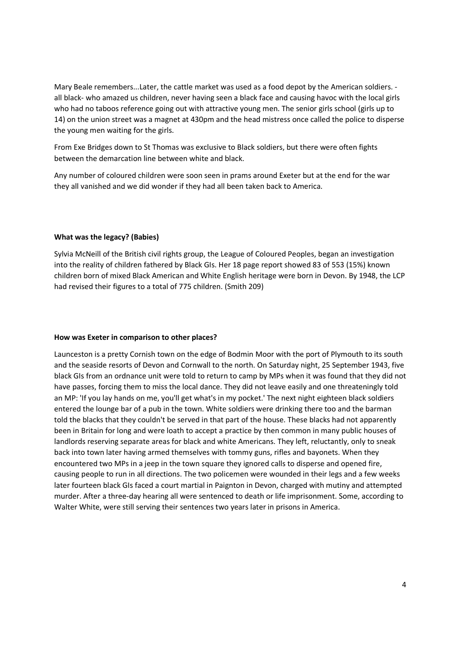Mary Beale remembers...Later, the cattle market was used as a food depot by the American soldiers. all black- who amazed us children, never having seen a black face and causing havoc with the local girls who had no taboos reference going out with attractive young men. The senior girls school (girls up to 14) on the union street was a magnet at 430pm and the head mistress once called the police to disperse the young men waiting for the girls.

From Exe Bridges down to St Thomas was exclusive to Black soldiers, but there were often fights between the demarcation line between white and black.

Any number of coloured children were soon seen in prams around Exeter but at the end for the war they all vanished and we did wonder if they had all been taken back to America.

## **What was the legacy? (Babies)**

Sylvia McNeill of the British civil rights group, the League of Coloured Peoples, began an investigation into the reality of children fathered by Black GIs. Her 18 page report showed 83 of 553 (15%) known children born of mixed Black American and White English heritage were born in Devon. By 1948, the LCP had revised their figures to a total of 775 children. (Smith 209)

#### **How was Exeter in comparison to other places?**

Launceston is a pretty Cornish town on the edge of Bodmin Moor with the port of Plymouth to its south and the seaside resorts of Devon and Cornwall to the north. On Saturday night, 25 September 1943, five black GIs from an ordnance unit were told to return to camp by MPs when it was found that they did not have passes, forcing them to miss the local dance. They did not leave easily and one threateningly told an MP: 'If you lay hands on me, you'll get what's in my pocket.' The next night eighteen black soldiers entered the lounge bar of a pub in the town. White soldiers were drinking there too and the barman told the blacks that they couldn't be served in that part of the house. These blacks had not apparently been in Britain for long and were loath to accept a practice by then common in many public houses of landlords reserving separate areas for black and white Americans. They left, reluctantly, only to sneak back into town later having armed themselves with tommy guns, rifles and bayonets. When they encountered two MPs in a jeep in the town square they ignored calls to disperse and opened fire, causing people to run in all directions. The two policemen were wounded in their legs and a few weeks later fourteen black GIs faced a court martial in Paignton in Devon, charged with mutiny and attempted murder. After a three-day hearing all were sentenced to death or life imprisonment. Some, according to Walter White, were still serving their sentences two years later in prisons in America.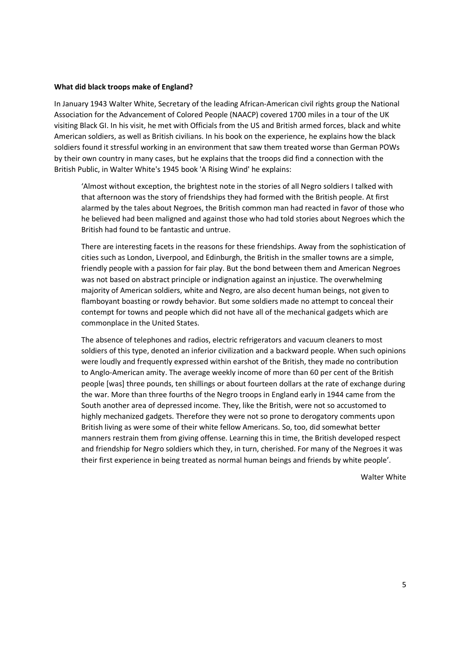#### **What did black troops make of England?**

In January 1943 Walter White, Secretary of the leading African-American civil rights group the National Association for the Advancement of Colored People (NAACP) covered 1700 miles in a tour of the UK visiting Black GI. In his visit, he met with Officials from the US and British armed forces, black and white American soldiers, as well as British civilians. In his book on the experience, he explains how the black soldiers found it stressful working in an environment that saw them treated worse than German POWs by their own country in many cases, but he explains that the troops did find a connection with the British Public, in Walter White's 1945 book 'A Rising Wind' he explains:

'Almost without exception, the brightest note in the stories of all Negro soldiers I talked with that afternoon was the story of friendships they had formed with the British people. At first alarmed by the tales about Negroes, the British common man had reacted in favor of those who he believed had been maligned and against those who had told stories about Negroes which the British had found to be fantastic and untrue.

There are interesting facets in the reasons for these friendships. Away from the sophistication of cities such as London, Liverpool, and Edinburgh, the British in the smaller towns are a simple, friendly people with a passion for fair play. But the bond between them and American Negroes was not based on abstract principle or indignation against an injustice. The overwhelming majority of American soldiers, white and Negro, are also decent human beings, not given to flamboyant boasting or rowdy behavior. But some soldiers made no attempt to conceal their contempt for towns and people which did not have all of the mechanical gadgets which are commonplace in the United States.

The absence of telephones and radios, electric refrigerators and vacuum cleaners to most soldiers of this type, denoted an inferior civilization and a backward people. When such opinions were loudly and frequently expressed within earshot of the British, they made no contribution to Anglo-American amity. The average weekly income of more than 60 per cent of the British people [was] three pounds, ten shillings or about fourteen dollars at the rate of exchange during the war. More than three fourths of the Negro troops in England early in 1944 came from the South another area of depressed income. They, like the British, were not so accustomed to highly mechanized gadgets. Therefore they were not so prone to derogatory comments upon British living as were some of their white fellow Americans. So, too, did somewhat better manners restrain them from giving offense. Learning this in time, the British developed respect and friendship for Negro soldiers which they, in turn, cherished. For many of the Negroes it was their first experience in being treated as normal human beings and friends by white people'.

Walter White